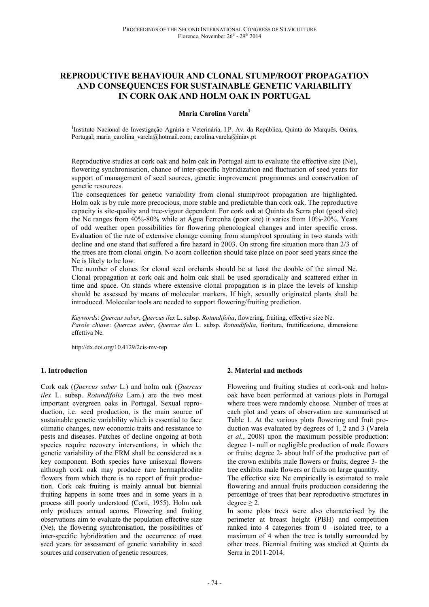# **REPRODUCTIVE BEHAVIOUR AND CLONAL STUMP/ROOT PROPAGATION AND CONSEQUENCES FOR SUSTAINABLE GENETIC VARIABILITY IN CORK OAK AND HOLM OAK IN PORTUGAL**

#### **Maria Carolina Varela<sup>1</sup>**

<sup>1</sup>Instituto Nacional de Investigação Agrária e Veterinária, I.P. Av. da República, Quinta do Marquês, Oeiras, Portugal; maria\_carolina\_varela@hotmail.com; carolina.varela@iniav.pt

Reproductive studies at cork oak and holm oak in Portugal aim to evaluate the effective size (Ne), flowering synchronisation, chance of inter-specific hybridization and fluctuation of seed years for support of management of seed sources, genetic improvement programmes and conservation of genetic resources.

The consequences for genetic variability from clonal stump/root propagation are highlighted. Holm oak is by rule more precocious, more stable and predictable than cork oak. The reproductive capacity is site-quality and tree-vigour dependent. For cork oak at Quinta da Serra plot (good site) the Ne ranges from 40%-80% while at Água Ferrenha (poor site) it varies from 10%-20%. Years of odd weather open possibilities for flowering phenological changes and inter specific cross. Evaluation of the rate of extensive clonage coming from stump/root sprouting in two stands with decline and one stand that suffered a fire hazard in 2003. On strong fire situation more than 2/3 of the trees are from clonal origin. No acorn collection should take place on poor seed years since the Ne is likely to be low.

The number of clones for clonal seed orchards should be at least the double of the aimed Ne. Clonal propagation at cork oak and holm oak shall be used sporadically and scattered either in time and space. On stands where extensive clonal propagation is in place the levels of kinship should be assessed by means of molecular markers. If high, sexually originated plants shall be introduced. Molecular tools are needed to support flowering/fruiting prediction.

*Keywords*: *Quercus suber*, *Quercus ilex* L. subsp. *Rotundifolia*, flowering, fruiting, effective size Ne. *Parole chiave*: *Quercus suber*, *Quercus ilex* L. subsp. *Rotundifolia*, fioritura, fruttificazione, dimensione effettiva Ne.

http://dx.doi.org/10.4129/2cis-mv-rep

#### **1. Introduction**

Cork oak (*Quercus suber* L.) and holm oak (*Quercus ilex* L. subsp. *Rotundifolia* Lam.) are the two most important evergreen oaks in Portugal. Sexual reproduction, i.e. seed production, is the main source of sustainable genetic variability which is essential to face climatic changes, new economic traits and resistance to pests and diseases. Patches of decline ongoing at both species require recovery interventions, in which the genetic variability of the FRM shall be considered as a key component. Both species have unisexual flowers although cork oak may produce rare hermaphrodite flowers from which there is no report of fruit production. Cork oak fruiting is mainly annual but biennial fruiting happens in some trees and in some years in a process still poorly understood (Corti, 1955). Holm oak only produces annual acorns. Flowering and fruiting observations aim to evaluate the population effective size (Ne), the flowering synchronisation, the possibilities of inter-specific hybridization and the occurrence of mast seed years for assessment of genetic variability in seed sources and conservation of genetic resources.

#### **2. Material and methods**

Flowering and fruiting studies at cork-oak and holmoak have been performed at various plots in Portugal where trees were randomly choose. Number of trees at each plot and years of observation are summarised at Table 1. At the various plots flowering and fruit production was evaluated by degrees of 1, 2 and 3 (Varela *et al.*, 2008) upon the maximum possible production: degree 1- null or negligible production of male flowers or fruits; degree 2- about half of the productive part of the crown exhibits male flowers or fruits; degree 3- the tree exhibits male flowers or fruits on large quantity.

The effective size Ne empirically is estimated to male flowering and annual fruits production considering the percentage of trees that bear reproductive structures in degree  $\geq 2$ .

In some plots trees were also characterised by the perimeter at breast height (PBH) and competition ranked into 4 categories from 0 –isolated tree, to a maximum of 4 when the tree is totally surrounded by other trees. Biennial fruiting was studied at Quinta da Serra in 2011-2014.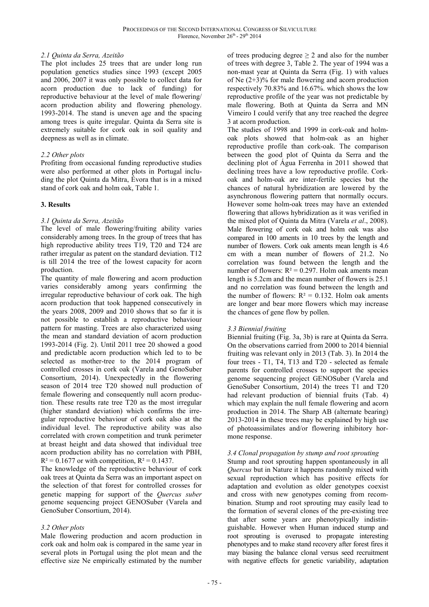#### *2.1 Quinta da Serra, Azeitão*

The plot includes 25 trees that are under long run population genetics studies since 1993 (except 2005 and 2006, 2007 it was only possible to collect data for acorn production due to lack of funding) for reproductive behaviour at the level of male flowering/ acorn production ability and flowering phenology. 1993-2014. The stand is uneven age and the spacing among trees is quite irregular. Quinta da Serra site is extremely suitable for cork oak in soil quality and deepness as well as in climate.

## *2.2 Other plots*

Profiting from occasional funding reproductive studies were also performed at other plots in Portugal including the plot Quinta da Mitra, Évora that is in a mixed stand of cork oak and holm oak, Table 1.

## **3. Results**

## *3.1 Quinta da Serra, Azeitão*

The level of male flowering/fruiting ability varies considerably among trees. In the group of trees that has high reproductive ability trees T19, T20 and T24 are rather irregular as patent on the standard deviation. T12 is till 2014 the tree of the lowest capacity for acorn production.

The quantity of male flowering and acorn production varies considerably among years confirming the irregular reproductive behaviour of cork oak. The high acorn production that took happened consecutively in the years 2008, 2009 and 2010 shows that so far it is not possible to establish a reproductive behaviour pattern for masting. Trees are also characterized using the mean and standard deviation of acorn production 1993-2014 (Fig. 2). Until 2011 tree 20 showed a good and predictable acorn production which led to to be selected as mother-tree to the 2014 program of controlled crosses in cork oak (Varela and GenoSuber Consortium, 2014). Unexpectedly in the flowering season of 2014 tree T20 showed null production of female flowering and consequently null acorn production. These results rate tree T20 as the most irregular (higher standard deviation) which confirms the irregular reproductive behaviour of cork oak also at the individual level. The reproductive ability was also correlated with crown competition and trunk perimeter at breast height and data showed that individual tree acorn production ability has no correlation with PBH,  $R^2 = 0.1677$  or with competition,  $R^2 = 0.1437$ .

The knowledge of the reproductive behaviour of cork oak trees at Quinta da Serra was an important aspect on the selection of that forest for controlled crosses for genetic mapping for support of the *Quercus suber* genome sequencing project GENOSuber (Varela and GenoSuber Consortium, 2014).

## *3.2 Other plots*

Male flowering production and acorn production in cork oak and holm oak is compared in the same year in several plots in Portugal using the plot mean and the effective size Ne empirically estimated by the number

of trees producing degree  $\geq 2$  and also for the number of trees with degree 3, Table 2. The year of 1994 was a non-mast year at Quinta da Serra (Fig. 1) with values of Ne (2+3)% for male flowering and acorn production respectively 70.83% and 16.67%. which shows the low reproductive profile of the year was not predictable by male flowering. Both at Quinta da Serra and MN Vimeiro I could verify that any tree reached the degree 3 at acorn production.

The studies of 1998 and 1999 in cork-oak and holmoak plots showed that holm-oak as an higher reproductive profile than cork-oak. The comparison between the good plot of Quinta da Serra and the declining plot of Água Ferrenha in 2011 showed that declining trees have a low reproductive profile. Corkoak and holm-oak are inter-fertile species but the chances of natural hybridization are lowered by the asynchronous flowering pattern that normally occurs. However some holm-oak trees may have an extended flowering that allows hybridization as it was verified in the mixed plot of Quinta da Mitra (Varela *et al*., 2008). Male flowering of cork oak and holm oak was also compared in 100 aments in 10 trees by the length and number of flowers. Cork oak aments mean length is 4.6 cm with a mean number of flowers of 21.2. No correlation was found between the length and the number of flowers:  $R^2 = 0.297$ . Holm oak aments mean length is 5.2cm and the mean number of flowers is 25.1 and no correlation was found between the length and the number of flowers:  $R^2 = 0.132$ . Holm oak aments are longer and bear more flowers which may increase the chances of gene flow by pollen.

## *3.3 Biennial fruiting*

Biennial fruiting (Fig. 3a, 3b) is rare at Quinta da Serra. On the observations carried from 2000 to 2014 biennial fruiting was relevant only in 2013 (Tab. 3). In 2014 the four trees - T1, T4, T13 and T20 - selected as female parents for controlled crosses to support the species genome sequencing project GENOSuber (Varela and GenoSuber Consortium, 2014) the trees T1 and T20 had relevant production of biennial fruits (Tab. 4) which may explain the null female flowering and acorn production in 2014. The Sharp AB (alternate bearing) 2013-2014 in these trees may be explained by high use of photoassimilates and/or flowering inhibitory hormone response.

## *3.4 Clonal propagation by stump and root sprouting*

Stump and root sprouting happen spontaneously in all *Quercus* but in Nature it happens randomly mixed with sexual reproduction which has positive effects for adaptation and evolution as older genotypes coexist and cross with new genotypes coming from recombination. Stump and root sprouting may easily lead to the formation of several clones of the pre-existing tree that after some years are phenotypically indistinguishable. However when Human induced stump and root sprouting is overused to propagate interesting phenotypes and to make stand recovery after forest fires it may biasing the balance clonal versus seed recruitment with negative effects for genetic variability, adaptation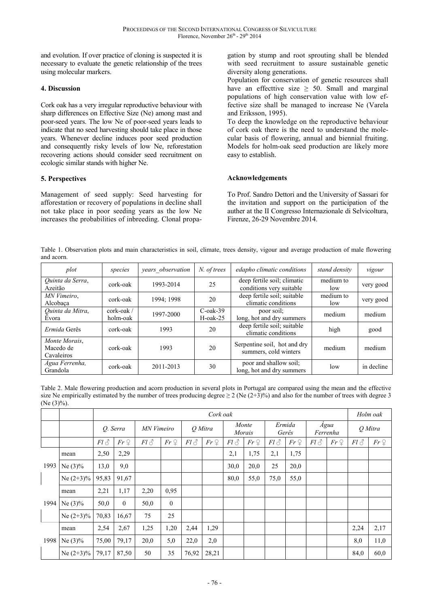and evolution. If over practice of cloning is suspected it is necessary to evaluate the genetic relationship of the trees using molecular markers.

#### **4. Discussion**

Cork oak has a very irregular reproductive behaviour with sharp differences on Effective Size (Ne) among mast and poor-seed years. The low Ne of poor-seed years leads to indicate that no seed harvesting should take place in those years. Whenever decline induces poor seed production and consequently risky levels of low Ne, reforestation recovering actions should consider seed recruitment on ecologic similar stands with higher Ne.

## **5. Perspectives**

Management of seed supply: Seed harvesting for afforestation or recovery of populations in decline shall not take place in poor seeding years as the low Ne increases the probabilities of inbreeding. Clonal propagation by stump and root sprouting shall be blended with seed recruitment to assure sustainable genetic diversity along generations.

Population for conservation of genetic resources shall have an effecttive size  $\geq$  50. Small and marginal populations of high conservation value with low effective size shall be managed to increase Ne (Varela and Eriksson, 1995).

To deep the knowledge on the reproductive behaviour of cork oak there is the need to understand the molecular basis of flowering, annual and biennial fruiting. Models for holm-oak seed production are likely more easy to establish.

## **Acknowledgements**

To Prof. Sandro Dettori and the University of Sassari for the invitation and support on the participation of the auther at the II Congresso Internazionale di Selvicoltura, Firenze, 26-29 Novembre 2014.

Table 1. Observation plots and main characteristics in soil, climate, trees density, vigour and average production of male flowering and acorn.

| plot                                     | species    | years observation | N. of trees                                                 | edapho climatic conditions                              | stand density | vigour     |
|------------------------------------------|------------|-------------------|-------------------------------------------------------------|---------------------------------------------------------|---------------|------------|
| Quinta da Serra,<br>Azeitão              | cork-oak   | 1993-2014         | 25                                                          | deep fertile soil; climatic<br>conditions very suitable | medium to     | very good  |
|                                          |            |                   |                                                             |                                                         | low           |            |
| MN Vimeiro,                              | cork-oak   | 1994: 1998        | 20                                                          | deep fertile soil; suitable                             | medium to     | very good  |
| Alcobaca                                 |            |                   |                                                             | climatic conditions                                     | low           |            |
| Quinta da Mitra,                         | cork-oak / | 1997-2000         | $C$ -oak-39                                                 | poor soil;                                              | medium        | medium     |
| Evora                                    | holm-oak   |                   | $H$ -oak-25<br>long, hot and dry summers                    |                                                         |               |            |
| Ermida Gerês                             | cork-oak   | 1993              | deep fertile soil; suitable<br>20<br>climatic conditions    |                                                         | high          | good       |
| Monte Morais,<br>Macedo de<br>Cavaleiros | cork-oak   | 1993              | Serpentine soil, hot and dry<br>20<br>summers, cold winters |                                                         | medium        | medium     |
| Agua Ferrenha,<br>Grandola               | cork-oak   | 2011-2013         | 30                                                          | poor and shallow soil;<br>long, hot and dry summers     | low           | in decline |

Table 2. Male flowering production and acorn production in several plots in Portugal are compared using the mean and the effective size Ne empirically estimated by the number of trees producing degree  $\geq 2$  (Ne (2+3)%) and also for the number of trees with degree 3 (Ne (3)%).

|      |              | Cork oak       |          |                     |              |                |                           |                 |                   |                     |      | Holm oak         |                 |                |                           |
|------|--------------|----------------|----------|---------------------|--------------|----------------|---------------------------|-----------------|-------------------|---------------------|------|------------------|-----------------|----------------|---------------------------|
|      |              | Q. Serra       |          | MN Vimeiro          |              | Q Mitra        |                           | Monte<br>Morais |                   | Ermida<br>Gerês     |      | Água<br>Ferrenha |                 | Q Mitra        |                           |
|      |              | $Fl \triangle$ | Fr 2     | $Fl \, \hat{\circ}$ | Fr 2         | $Fl \triangle$ | $Fr \mathrel{\mathbb{C}}$ | $Fl \triangle$  | $Fr  \mathcal{Q}$ | $Fl \, \mathcal{S}$ | Fr 2 | $Fl \triangle$   | $Fr \nsubseteq$ | $Fl \triangle$ | $Fr \mathrel{\mathbb{C}}$ |
| 1993 | mean         | 2,50           | 2,29     |                     |              |                |                           | 2,1             | 1,75              | 2,1                 | 1,75 |                  |                 |                |                           |
|      | Ne $(3)$ %   | 13,0           | 9,0      |                     |              |                |                           | 30,0            | 20,0              | 25                  | 20,0 |                  |                 |                |                           |
|      | Ne $(2+3)\%$ | 95,83          | 91,67    |                     |              |                |                           | 80,0            | 55,0              | 75,0                | 55,0 |                  |                 |                |                           |
| 1994 | mean         | 2,21           | 1,17     | 2,20                | 0,95         |                |                           |                 |                   |                     |      |                  |                 |                |                           |
|      | Ne $(3)\%$   | 50,0           | $\theta$ | 50,0                | $\mathbf{0}$ |                |                           |                 |                   |                     |      |                  |                 |                |                           |
|      | Ne $(2+3)\%$ | 70,83          | 16,67    | 75                  | 25           |                |                           |                 |                   |                     |      |                  |                 |                |                           |
| 1998 | mean         | 2,54           | 2,67     | 1,25                | 1,20         | 2,44           | 1,29                      |                 |                   |                     |      |                  |                 | 2,24           | 2,17                      |
|      | Ne $(3)$ %   | 75,00          | 79,17    | 20,0                | 5,0          | 22,0           | 2,0                       |                 |                   |                     |      |                  |                 | 8,0            | 11,0                      |
|      | Ne $(2+3)\%$ | 79,17          | 87,50    | 50                  | 35           | 76,92          | 28,21                     |                 |                   |                     |      |                  |                 | 84,0           | 60,0                      |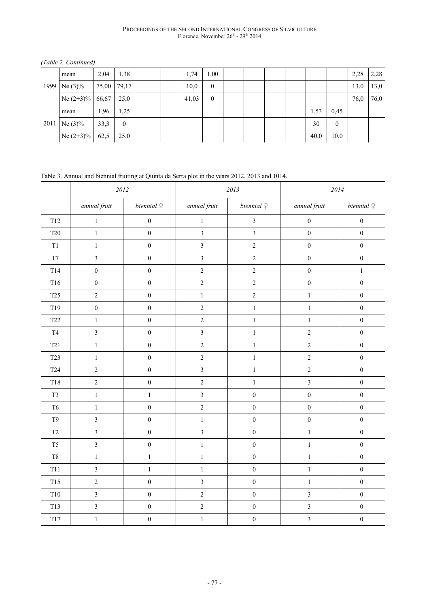#### PROCEEDINGS OF THE SECOND INTERNATIONAL CONGRESS OF SILVICULTURE Florence, November 26<sup>th</sup> - 29<sup>th</sup> 2014

*(Table 2. Continued)*

| 1999 | mean         | 2,04  | 1,38     |  | 1,74  | 00,      |  |  |      |          | 2,28 | 2,28 |
|------|--------------|-------|----------|--|-------|----------|--|--|------|----------|------|------|
|      | Ne $(3)$ %   | 75,00 | 79,17    |  | 10,0  | $\theta$ |  |  |      |          | 13,0 | 13,0 |
|      | Ne $(2+3)\%$ | 66,67 | 25,0     |  | 41,03 | $\theta$ |  |  |      |          | 76,0 | 76,0 |
| 2011 | mean         | 1,96  | 1,25     |  |       |          |  |  | 1,53 | 0,45     |      |      |
|      | Ne $(3)$ %   | 33,3  | $\bf{0}$ |  |       |          |  |  | 30   | $\theta$ |      |      |
|      | Ne $(2+3)\%$ | 62,5  | 25,0     |  |       |          |  |  | 40,0 | 10,0     |      |      |

Table 3. Annual and biennial fruiting at Quinta da Serra plot in the years 2012, 2013 and 1014.

|                     | 2012             |                    |                         | 2013                    | 2014                    |                    |  |  |
|---------------------|------------------|--------------------|-------------------------|-------------------------|-------------------------|--------------------|--|--|
|                     | annual fruit     | biennial $\varphi$ | annual fruit            | biennial $Q$            | annual fruit            | biennial $\varphi$ |  |  |
| T12                 | $\,1\,$          | $\boldsymbol{0}$   | $\mathbf{1}$            | $\overline{\mathbf{3}}$ | $\boldsymbol{0}$        | $\boldsymbol{0}$   |  |  |
| <b>T20</b>          | $\mathbf{1}$     | $\boldsymbol{0}$   | $\overline{3}$          | $\overline{3}$          | $\boldsymbol{0}$        | $\boldsymbol{0}$   |  |  |
| T1                  | $\,1\,$          | $\boldsymbol{0}$   | $\overline{\mathbf{3}}$ | $\sqrt{2}$              | $\boldsymbol{0}$        | $\boldsymbol{0}$   |  |  |
| $\rm{T}7$           | $\overline{3}$   | $\boldsymbol{0}$   | $\overline{3}$          | $\overline{2}$          | $\boldsymbol{0}$        | $\boldsymbol{0}$   |  |  |
| T14                 | $\boldsymbol{0}$ | $\boldsymbol{0}$   | $\sqrt{2}$              | $\overline{2}$          | $\boldsymbol{0}$        | $\,1$              |  |  |
| T16                 | $\boldsymbol{0}$ | $\boldsymbol{0}$   | $\overline{2}$          | $\sqrt{2}$              | $\boldsymbol{0}$        | $\boldsymbol{0}$   |  |  |
| <b>T25</b>          | $\overline{2}$   | $\boldsymbol{0}$   | $\,1\,$                 | $\sqrt{2}$              | $\,1\,$                 | $\mathbf 0$        |  |  |
| T19                 | $\boldsymbol{0}$ | $\boldsymbol{0}$   | $\sqrt{2}$              | $\,1$                   | $\,1\,$                 | $\boldsymbol{0}$   |  |  |
| T22                 | $\,1\,$          | $\boldsymbol{0}$   | $\overline{2}$          | $\,1\,$                 | $\,1\,$                 | $\boldsymbol{0}$   |  |  |
| T <sub>4</sub>      | $\overline{3}$   | $\boldsymbol{0}$   | $\overline{3}$          | $\mathbf 1$             | $\sqrt{2}$              | $\boldsymbol{0}$   |  |  |
| <b>T21</b>          | $\,1\,$          | $\boldsymbol{0}$   | $\overline{c}$          | $\,1$                   | $\overline{c}$          | $\boldsymbol{0}$   |  |  |
| <b>T23</b>          | $\,1\,$          | $\boldsymbol{0}$   | $\overline{2}$          | $\,1$                   | $\sqrt{2}$              | $\boldsymbol{0}$   |  |  |
| T <sub>24</sub>     | $\sqrt{2}$       | $\boldsymbol{0}$   | $\overline{3}$          | $\,1$                   | $\sqrt{2}$              | $\boldsymbol{0}$   |  |  |
| T18                 | $\overline{c}$   | $\boldsymbol{0}$   | $\overline{2}$          | $\,1\,$                 | $\overline{3}$          | $\boldsymbol{0}$   |  |  |
| T <sub>3</sub>      | $\,1\,$          | $\mathbf{1}$       | $\overline{\mathbf{3}}$ | $\boldsymbol{0}$        | $\boldsymbol{0}$        | $\boldsymbol{0}$   |  |  |
| T <sub>6</sub>      | $\,1$            | $\boldsymbol{0}$   | $\overline{2}$          | $\boldsymbol{0}$        | $\boldsymbol{0}$        | $\boldsymbol{0}$   |  |  |
| T <sub>9</sub>      | $\overline{3}$   | $\boldsymbol{0}$   | $\mathbf{1}$            | $\boldsymbol{0}$        | $\boldsymbol{0}$        | $\boldsymbol{0}$   |  |  |
| $\operatorname{T2}$ | $\overline{3}$   | $\boldsymbol{0}$   | $\overline{3}$          | $\boldsymbol{0}$        | $\,1\,$                 | $\boldsymbol{0}$   |  |  |
| T <sub>5</sub>      | $\overline{3}$   | $\boldsymbol{0}$   | $\,1$                   | $\boldsymbol{0}$        | $\,1\,$                 | $\boldsymbol{0}$   |  |  |
| $\rm{T}8$           | $\,1\,$          | $\,1\,$            | $\mathbf{1}$            | $\boldsymbol{0}$        | $\,1\,$                 | $\boldsymbol{0}$   |  |  |
| T11                 | $\mathfrak{Z}$   | $\mathbf{1}$       | $\mathbf{1}$            | $\boldsymbol{0}$        | $\,1\,$                 | $\boldsymbol{0}$   |  |  |
| T15                 | $\overline{c}$   | $\boldsymbol{0}$   | $\overline{3}$          | $\boldsymbol{0}$        | $\,1\,$                 | $\boldsymbol{0}$   |  |  |
| $\rm T10$           | $\overline{3}$   | $\boldsymbol{0}$   | $\overline{2}$          | $\boldsymbol{0}$        | $\overline{3}$          | $\mathbf 0$        |  |  |
| <b>T13</b>          | $\overline{3}$   | $\boldsymbol{0}$   | $\sqrt{2}$              | $\boldsymbol{0}$        | $\overline{\mathbf{3}}$ | $\boldsymbol{0}$   |  |  |
| T17                 | $\,1\,$          | $\boldsymbol{0}$   | $\mathbf{1}$            | $\overline{0}$          | $\overline{3}$          | $\boldsymbol{0}$   |  |  |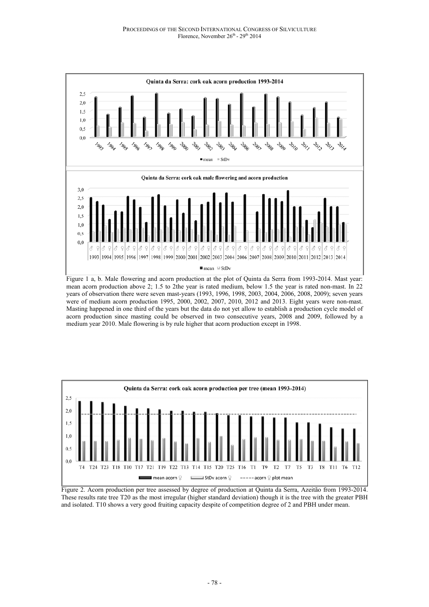

Figure 1 a, b. Male flowering and acorn production at the plot of Quinta da Serra from 1993-2014. Mast year: mean acorn production above 2; 1.5 to 2the year is rated medium, below 1.5 the year is rated non-mast. In 22 years of observation there were seven mast-years (1993, 1996, 1998, 2003, 2004, 2006, 2008, 2009); seven years were of medium acorn production 1995, 2000, 2002, 2007, 2010, 2012 and 2013. Eight years were non-mast. Masting happened in one third of the years but the data do not yet allow to establish a production cycle model of acorn production since masting could be observed in two consecutive years, 2008 and 2009, followed by a medium year 2010. Male flowering is by rule higher that acorn production except in 1998.



Figure 2. Acorn production per tree assessed by degree of production at Quinta da Serra, Azeitão from 1993-2014. These results rate tree T20 as the most irregular (higher standard deviation) though it is the tree with the greater PBH and isolated. T10 shows a very good fruiting capacity despite of competition degree of 2 and PBH under mean.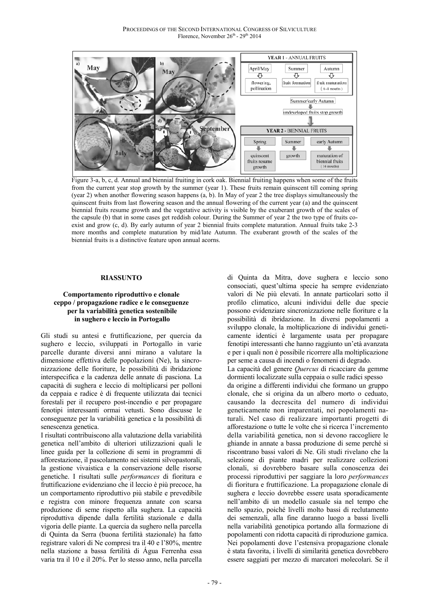

Figure 3-a, b, c, d. Annual and biennial fruiting in cork oak. Biennial fruiting happens when some of the fruits from the current year stop growth by the summer (year 1). These fruits remain quinscent till coming spring (year 2) when another flowering season happens (a, b). In May of year 2 the tree displays simultaneously the quinscent fruits from last flowering season and the annual flowering of the current year (a) and the quinscent biennial fruits resume growth and the vegetative activity is visible by the exuberant growth of the scales of the capsule (b) that in some cases get reddish colour. During the Summer of year 2 the two type of fruits coexist and grow (c, d). By early autumn of year 2 biennial fruits complete maturation. Annual fruits take 2-3 more months and complete maturation by mid/late Autumn. The exuberant growth of the scales of the biennial fruits is a distinctive feature upon annual acorns.

#### **RIASSUNTO**

#### **Comportamento riproduttivo e clonale ceppo / propagazione radice e le conseguenze per la variabilità genetica sostenibile in sughero e leccio in Portogallo**

Gli studi su antesi e fruttificazione, per quercia da sughero e leccio, sviluppati in Portogallo in varie parcelle durante diversi anni mirano a valutare la dimensione effettiva delle popolazioni (Ne), la sincronizzazione delle fioriture, le possibilità di ibridazione interspecifica e la cadenza delle annate di pasciona. La capacità di sughera e leccio di moltiplicarsi per polloni da ceppaia e radice è di frequente utilizzata dai tecnici forestali per il recupero post-incendio e per propagare fenotipi interessanti ormai vetusti. Sono discusse le conseguenze per la variabilità genetica e la possibilità di senescenza genetica.

I risultati contribuiscono alla valutazione della variabilità genetica nell'ambito di ulteriori utilizzazioni quali le linee guida per la collezione di semi in programmi di afforestazione, il pascolamento nei sistemi silvopastorali, la gestione vivaistica e la conservazione delle risorse genetiche. I risultati sulle *performances* di fioritura e fruttificazione evidenziano che il leccio è più precoce, ha un comportamento riproduttivo più stabile e prevedibile e registra con minore frequenza annate con scarsa produzione di seme rispetto alla sughera. La capacità riproduttiva dipende dalla fertilità stazionale e dalla vigoria delle piante. La quercia da sughero nella parcella di Quinta da Serra (buona fertilità stazionale) ha fatto registrare valori di Ne compresi tra il 40 e l'80%, mentre nella stazione a bassa fertilità di Água Ferrenha essa varia tra il 10 e il 20%. Per lo stesso anno, nella parcella

di Quinta da Mitra, dove sughera e leccio sono consociati, quest'ultima specie ha sempre evidenziato valori di Ne più elevati. In annate particolari sotto il profilo climatico, alcuni individui delle due specie possono evidenziare sincronizzazione nelle fioriture e la possibilità di ibridazione. In diversi popolamenti a sviluppo clonale, la moltiplicazione di individui geneticamente identici è largamente usata per propagare fenotipi interessanti che hanno raggiunto un'età avanzata e per i quali non è possibile ricorrere alla moltiplicazione per seme a causa di incendi o fenomeni di degrado. La capacità del genere *Quercus* di ricacciare da gemme dormienti localizzate sulla ceppaia o sulle radici spesso da origine a differenti individui che formano un gruppo clonale, che si origina da un albero morto o ceduato, causando la decrescita del numero di individui geneticamente non imparentati, nei popolamenti naturali. Nel caso di realizzare importanti progetti di afforestazione o tutte le volte che si ricerca l'incremento della variabilità genetica, non si devono raccogliere le ghiande in annate a bassa produzione di seme perché si riscontrano bassi valori di Ne. Gli studi rivelano che la selezione di piante madri per realizzare collezioni clonali, si dovrebbero basare sulla conoscenza dei processi riproduttivi per saggiare la loro *performances*  di fioritura e fruttificazione. La propagazione clonale di sughera e leccio dovrebbe essere usata sporadicamente nell'ambito di un modello casuale sia nel tempo che nello spazio, poiché livelli molto bassi di reclutamento dei semenzali, alla fine daranno luogo a bassi livelli nella variabilità genotipica portando alla formazione di popolamenti con ridotta capacità di riproduzione gamica. Nei popolamenti dove l'estensiva propagazione clonale è stata favorita, i livelli di similarità genetica dovrebbero essere saggiati per mezzo di marcatori molecolari. Se il